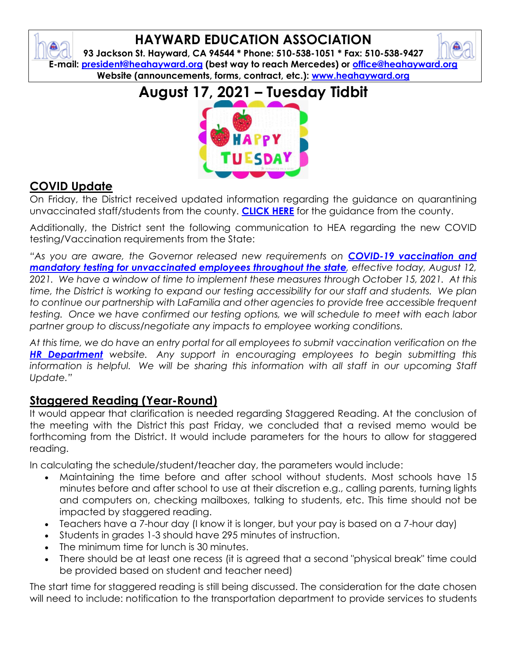## **HAYWARD EDUCATION ASSOCIATION**

**93 Jackson St. Hayward, CA 94544 \* Phone: 510-538-1051 \* Fax: 510-538-9427 E-mail: [president@heahayward.org](mailto:president@heahayward.org) (best way to reach Mercedes) or [office@heahayward.org](mailto:office@heahayward.org) Website (announcements, forms, contract, etc.): [www.heahayward.org](http://www.heahayward.org/)**

## **August 17, 2021 – Tuesday Tidbit**



## **COVID Update**

On Friday, the District received updated information regarding the guidance on quarantining unvaccinated staff/students from the county. **[CLICK HERE](https://drive.google.com/drive/folders/16EP8nfP3e1xoePBxnRGOJRMa9rGk35Xj?usp=sharing)** for the guidance from the county.

Additionally, the District sent the following communication to HEA regarding the new COVID testing/Vaccination requirements from the State:

*"As you are aware, the Governor released new requirements on [COVID-19 vaccination and](https://www.gov.ca.gov/2021/08/11/california-implements-first-in-the-nation-measure-to-encourage-teachers-and-school-staff-to-get-vaccinated/)  [mandatory testing for unvaccinated employees throughout the state](https://www.gov.ca.gov/2021/08/11/california-implements-first-in-the-nation-measure-to-encourage-teachers-and-school-staff-to-get-vaccinated/), effective today, August 12, 2021. We have a window of time to implement these measures through October 15, 2021. At this time, the District is working to expand our testing accessibility for our staff and students. We plan to continue our partnership with LaFamilia and other agencies to provide free accessible frequent testing. Once we have confirmed our testing options, we will schedule to meet with each labor partner group to discuss/negotiate any impacts to employee working conditions.*

*At this time, we do have an entry portal for all employees to submit vaccination verification on the [HR Department](https://www.husd.us/hr) website. Any support in encouraging employees to begin submitting this*  information is helpful. We will be sharing this information with all staff in our upcoming Staff *Update."*

### **Staggered Reading (Year-Round)**

It would appear that clarification is needed regarding Staggered Reading. At the conclusion of the meeting with the District this past Friday, we concluded that a revised memo would be forthcoming from the District. It would include parameters for the hours to allow for staggered reading.

In calculating the schedule/student/teacher day, the parameters would include:

- Maintaining the time before and after school without students. Most schools have 15 minutes before and after school to use at their discretion e.g., calling parents, turning lights and computers on, checking mailboxes, talking to students, etc. This time should not be impacted by staggered reading.
- Teachers have a 7-hour day (I know it is longer, but your pay is based on a 7-hour day)
- Students in grades 1-3 should have 295 minutes of instruction.
- The minimum time for lunch is 30 minutes.
- There should be at least one recess (it is agreed that a second "physical break" time could be provided based on student and teacher need)

The start time for staggered reading is still being discussed. The consideration for the date chosen will need to include: notification to the transportation department to provide services to students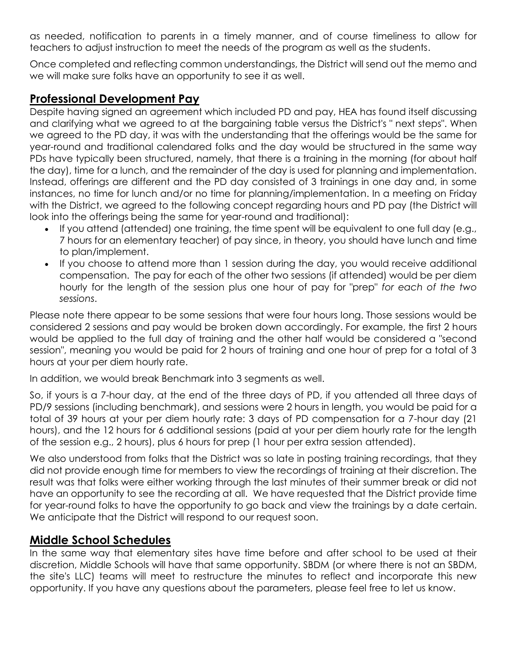as needed, notification to parents in a timely manner, and of course timeliness to allow for teachers to adjust instruction to meet the needs of the program as well as the students.

Once completed and reflecting common understandings, the District will send out the memo and we will make sure folks have an opportunity to see it as well.

#### **Professional Development Pay**

Despite having signed an agreement which included PD and pay, HEA has found itself discussing and clarifying what we agreed to at the bargaining table versus the District's " next steps". When we agreed to the PD day, it was with the understanding that the offerings would be the same for year-round and traditional calendared folks and the day would be structured in the same way PDs have typically been structured, namely, that there is a training in the morning (for about half the day), time for a lunch, and the remainder of the day is used for planning and implementation. Instead, offerings are different and the PD day consisted of 3 trainings in one day and, in some instances, no time for lunch and/or no time for planning/implementation. In a meeting on Friday with the District, we agreed to the following concept regarding hours and PD pay (the District will look into the offerings being the same for year-round and traditional):

- If you attend (attended) one training, the time spent will be equivalent to one full day (e.g., 7 hours for an elementary teacher) of pay since, in theory, you should have lunch and time to plan/implement.
- If you choose to attend more than 1 session during the day, you would receive additional compensation. The pay for each of the other two sessions (if attended) would be per diem hourly for the length of the session plus one hour of pay for "prep" *for each of the two sessions*.

Please note there appear to be some sessions that were four hours long. Those sessions would be considered 2 sessions and pay would be broken down accordingly. For example, the first 2 hours would be applied to the full day of training and the other half would be considered a "second session", meaning you would be paid for 2 hours of training and one hour of prep for a total of 3 hours at your per diem hourly rate.

In addition, we would break Benchmark into 3 segments as well.

So, if yours is a 7-hour day, at the end of the three days of PD, if you attended all three days of PD/9 sessions (including benchmark), and sessions were 2 hours in length, you would be paid for a total of 39 hours at your per diem hourly rate: 3 days of PD compensation for a 7-hour day (21 hours), and the 12 hours for 6 additional sessions (paid at your per diem hourly rate for the length of the session e.g., 2 hours), plus 6 hours for prep (1 hour per extra session attended).

We also understood from folks that the District was so late in posting training recordings, that they did not provide enough time for members to view the recordings of training at their discretion. The result was that folks were either working through the last minutes of their summer break or did not have an opportunity to see the recording at all. We have requested that the District provide time for year-round folks to have the opportunity to go back and view the trainings by a date certain. We anticipate that the District will respond to our request soon.

#### **Middle School Schedules**

In the same way that elementary sites have time before and after school to be used at their discretion, Middle Schools will have that same opportunity. SBDM (or where there is not an SBDM, the site's LLC) teams will meet to restructure the minutes to reflect and incorporate this new opportunity. If you have any questions about the parameters, please feel free to let us know.